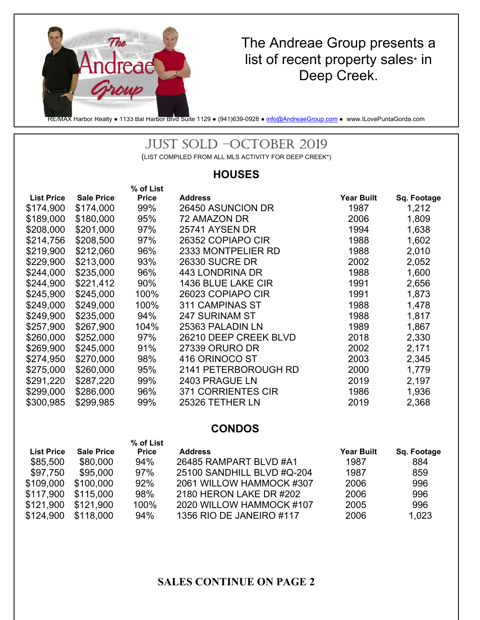

# The Andreae Group presents a list of recent property sales\* in Deep Creek.

RE/MAX Harbor Realty • 1133 Bal Harbor Blvd Suite 1129 • (941)639-0928 • info@AndreaeGroup.com • www.ILovePuntaGorda.com

## JUST SOLD –OCTOBER 2019

(LIST COMPILED FROM ALL MLS ACTIVITY FOR DEEP CREEK\*)

#### **HOUSES**

|                   |                   | % of List    |                       |                   |             |
|-------------------|-------------------|--------------|-----------------------|-------------------|-------------|
| <b>List Price</b> | <b>Sale Price</b> | <b>Price</b> | <b>Address</b>        | <b>Year Built</b> | Sq. Footage |
| \$174,900         | \$174,000         | 99%          | 26450 ASUNCION DR     | 1987              | 1,212       |
| \$189,000         | \$180,000         | 95%          | 72 AMAZON DR          | 2006              | 1,809       |
| \$208,000         | \$201,000         | 97%          | 25741 AYSEN DR        | 1994              | 1,638       |
| \$214,756         | \$208,500         | 97%          | 26352 COPIAPO CIR     | 1988              | 1,602       |
| \$219,900         | \$212,060         | 96%          | 2333 MONTPELIER RD    | 1988              | 2,010       |
| \$229,900         | \$213,000         | 93%          | <b>26330 SUCRE DR</b> | 2002              | 2,052       |
| \$244,000         | \$235,000         | 96%          | 443 LONDRINA DR       | 1988              | 1,600       |
| \$244,900         | \$221,412         | 90%          | 1436 BLUE LAKE CIR    | 1991              | 2,656       |
| \$245,900         | \$245,000         | 100%         | 26023 COPIAPO CIR     | 1991              | 1,873       |
| \$249,000         | \$249,000         | 100%         | 311 CAMPINAS ST       | 1988              | 1,478       |
| \$249,900         | \$235,000         | 94%          | <b>247 SURINAM ST</b> | 1988              | 1,817       |
| \$257,900         | \$267,900         | 104%         | 25363 PALADIN LN      | 1989              | 1,867       |
| \$260,000         | \$252,000         | 97%          | 26210 DEEP CREEK BLVD | 2018              | 2,330       |
| \$269,900         | \$245,000         | 91%          | 27339 ORURO DR        | 2002              | 2,171       |
| \$274,950         | \$270,000         | 98%          | 416 ORINOCO ST        | 2003              | 2,345       |
| \$275,000         | \$260,000         | 95%          | 2141 PETERBOROUGH RD  | 2000              | 1,779       |
| \$291,220         | \$287,220         | 99%          | 2403 PRAGUE LN        | 2019              | 2,197       |
| \$299,000         | \$286,000         | 96%          | 371 CORRIENTES CIR    | 1986              | 1,936       |
| \$300,985         | \$299,985         | 99%          | 25326 TETHER LN       | 2019              | 2,368       |
|                   |                   |              |                       |                   |             |

### **CONDOS**

|                   |                   | % of List    |                            |                   |             |
|-------------------|-------------------|--------------|----------------------------|-------------------|-------------|
| <b>List Price</b> | <b>Sale Price</b> | <b>Price</b> | <b>Address</b>             | <b>Year Built</b> | Sq. Footage |
| \$85,500          | \$80,000          | 94%          | 26485 RAMPART BLVD #A1     | 1987              | 884         |
| \$97,750          | \$95,000          | 97%          | 25100 SANDHILL BLVD #Q-204 | 1987              | 859         |
| \$109,000         | \$100,000         | 92%          | 2061 WILLOW HAMMOCK #307   | 2006              | 996         |
| \$117,900         | \$115,000         | 98%          | 2180 HERON LAKE DR #202    | 2006              | 996         |
| \$121,900         | \$121,900         | 100%         | 2020 WILLOW HAMMOCK #107   | 2005              | 996         |
| \$124,900         | \$118,000         | 94%          | 1356 RIO DE JANEIRO #117   | 2006              | 1,023       |

## **SALES CONTINUE ON PAGE 2**